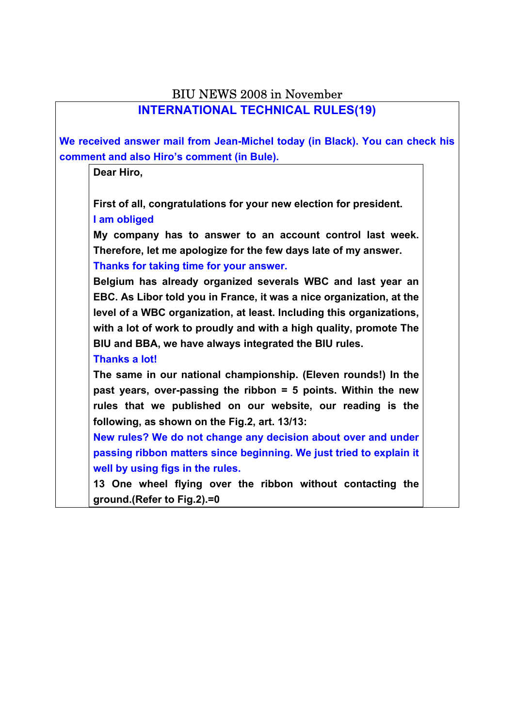| <b>BIU NEWS 2008 in November</b>                                             |  |  |  |  |  |
|------------------------------------------------------------------------------|--|--|--|--|--|
| <b>INTERNATIONAL TECHNICAL RULES(19)</b>                                     |  |  |  |  |  |
|                                                                              |  |  |  |  |  |
| We received answer mail from Jean-Michel today (in Black). You can check his |  |  |  |  |  |
| comment and also Hiro's comment (in Bule).                                   |  |  |  |  |  |
| Dear Hiro,                                                                   |  |  |  |  |  |
|                                                                              |  |  |  |  |  |
| First of all, congratulations for your new election for president.           |  |  |  |  |  |
| I am obliged                                                                 |  |  |  |  |  |
| My company has to answer to an account control last week.                    |  |  |  |  |  |
| Therefore, let me apologize for the few days late of my answer.              |  |  |  |  |  |
| Thanks for taking time for your answer.                                      |  |  |  |  |  |
| Belgium has already organized severals WBC and last year an                  |  |  |  |  |  |
| EBC. As Libor told you in France, it was a nice organization, at the         |  |  |  |  |  |
| level of a WBC organization, at least. Including this organizations,         |  |  |  |  |  |
| with a lot of work to proudly and with a high quality, promote The           |  |  |  |  |  |
| BIU and BBA, we have always integrated the BIU rules.                        |  |  |  |  |  |
| <b>Thanks a lot!</b>                                                         |  |  |  |  |  |
| The same in our national championship. (Eleven rounds!) In the               |  |  |  |  |  |
| past years, over-passing the ribbon $=$ 5 points. Within the new             |  |  |  |  |  |
| rules that we published on our website, our reading is the                   |  |  |  |  |  |
| following, as shown on the Fig.2, art. 13/13:                                |  |  |  |  |  |
| New rules? We do not change any decision about over and under                |  |  |  |  |  |
| passing ribbon matters since beginning. We just tried to explain it          |  |  |  |  |  |
| well by using figs in the rules.                                             |  |  |  |  |  |
| 13 One wheel flying over the ribbon without contacting the                   |  |  |  |  |  |
| ground.(Refer to Fig.2).=0                                                   |  |  |  |  |  |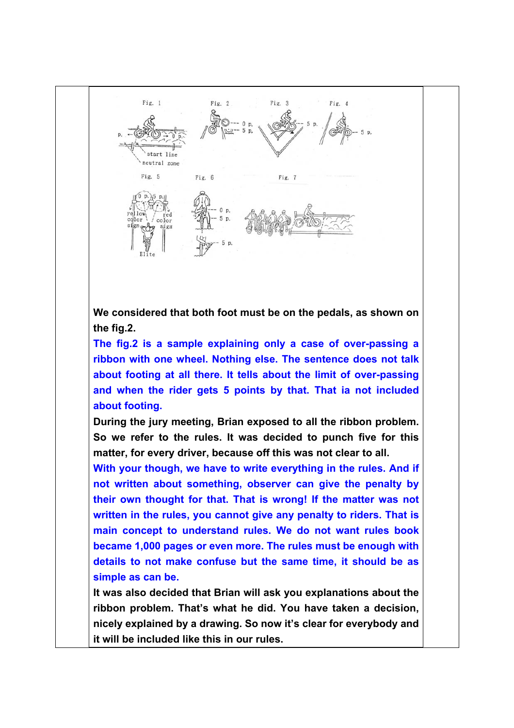

**We considered that both foot must be on the pedals, as shown on the fig.2.** 

**The fig.2 is a sample explaining only a case of over-passing a ribbon with one wheel. Nothing else. The sentence does not talk about footing at all there. It tells about the limit of over-passing and when the rider gets 5 points by that. That ia not included about footing.** 

**During the jury meeting, Brian exposed to all the ribbon problem. So we refer to the rules. It was decided to punch five for this matter, for every driver, because off this was not clear to all.** 

**With your though, we have to write everything in the rules. And if not written about something, observer can give the penalty by their own thought for that. That is wrong! If the matter was not written in the rules, you cannot give any penalty to riders. That is main concept to understand rules. We do not want rules book became 1,000 pages or even more. The rules must be enough with details to not make confuse but the same time, it should be as simple as can be.** 

**It was also decided that Brian will ask you explanations about the ribbon problem. That's what he did. You have taken a decision, nicely explained by a drawing. So now it's clear for everybody and it will be included like this in our rules.**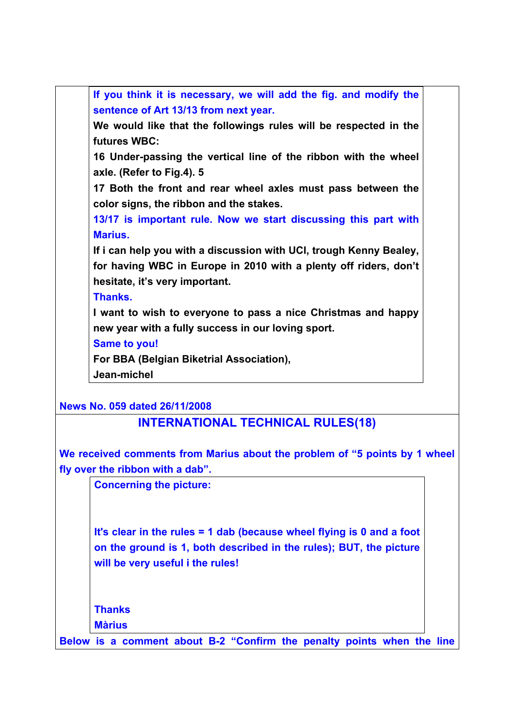**If you think it is necessary, we will add the fig. and modify the sentence of Art 13/13 from next year. We would like that the followings rules will be respected in the futures WBC: 16 Under-passing the vertical line of the ribbon with the wheel axle. (Refer to Fig.4). 5 17 Both the front and rear wheel axles must pass between the color signs, the ribbon and the stakes. 13/17 is important rule. Now we start discussing this part with Marius. If i can help you with a discussion with UCI, trough Kenny Bealey, for having WBC in Europe in 2010 with a plenty off riders, don't hesitate, it's very important. Thanks. I want to wish to everyone to pass a nice Christmas and happy new year with a fully success in our loving sport. Same to you! For BBA (Belgian Biketrial Association), Jean-michel News No. 059 dated 26/11/2008 INTERNATIONAL TECHNICAL RULES(18) We received comments from Marius about the problem of "5 points by 1 wheel fly over the ribbon with a dab".** 

**Concerning the picture:**

**It's clear in the rules = 1 dab (because wheel flying is 0 and a foot on the ground is 1, both described in the rules); BUT, the picture will be very useful i the rules!**

**Thanks**

**Màrius** 

**Below is a comment about B-2 "Confirm the penalty points when the line**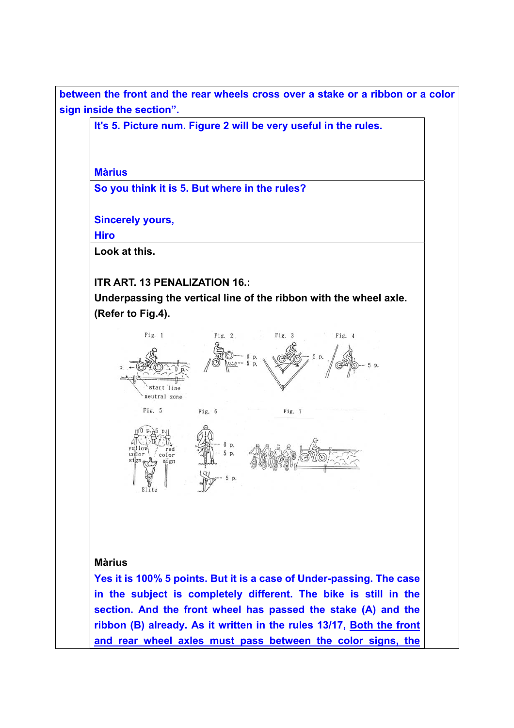**between the front and the rear wheels cross over a stake or a ribbon or a color sign inside the section".** 

**It's 5. Picture num. Figure 2 will be very useful in the rules.**

**Màrius**

**So you think it is 5. But where in the rules?** 

**Sincerely yours,** 

**Hiro** 

**Look at this.**

#### **ITR ART. 13 PENALIZATION 16.:**

color

sign

**Underpassing the vertical line of the ribbon with the wheel axle. (Refer to Fig.4).** 



D

 $\overline{D}$ 

**Màrius**

**Yes it is 100% 5 points. But it is a case of Under-passing. The case in the subject is completely different. The bike is still in the section. And the front wheel has passed the stake (A) and the ribbon (B) already. As it written in the rules 13/17, Both the front and rear wheel axles must pass between the color signs, the**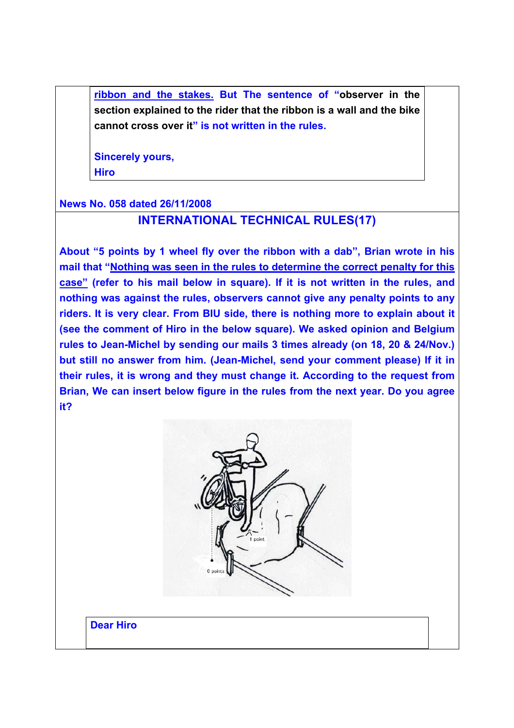**ribbon and the stakes. But The sentence of "observer in the section explained to the rider that the ribbon is a wall and the bike cannot cross over it" is not written in the rules.** 

**Sincerely yours, Hiro** 

#### **News No. 058 dated 26/11/2008**

#### **INTERNATIONAL TECHNICAL RULES(17)**

**About "5 points by 1 wheel fly over the ribbon with a dab", Brian wrote in his mail that "Nothing was seen in the rules to determine the correct penalty for this case" (refer to his mail below in square). If it is not written in the rules, and nothing was against the rules, observers cannot give any penalty points to any riders. It is very clear. From BIU side, there is nothing more to explain about it (see the comment of Hiro in the below square). We asked opinion and Belgium rules to Jean-Michel by sending our mails 3 times already (on 18, 20 & 24/Nov.) but still no answer from him. (Jean-Michel, send your comment please) If it in their rules, it is wrong and they must change it. According to the request from Brian, We can insert below figure in the rules from the next year. Do you agree it?** 



**Dear Hiro**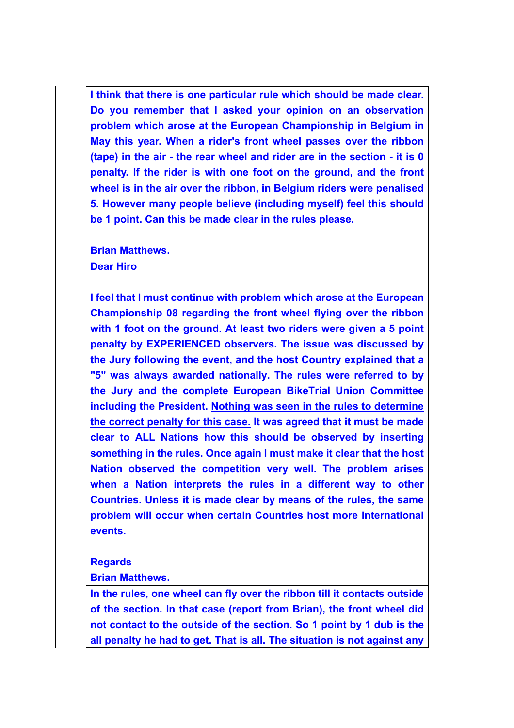**I think that there is one particular rule which should be made clear. Do you remember that I asked your opinion on an observation problem which arose at the European Championship in Belgium in May this year. When a rider's front wheel passes over the ribbon (tape) in the air - the rear wheel and rider are in the section - it is 0 penalty. If the rider is with one foot on the ground, and the front wheel is in the air over the ribbon, in Belgium riders were penalised 5. However many people believe (including myself) feel this should be 1 point. Can this be made clear in the rules please.** 

**Brian Matthews.** 

**Dear Hiro** 

**I feel that I must continue with problem which arose at the European Championship 08 regarding the front wheel flying over the ribbon with 1 foot on the ground. At least two riders were given a 5 point penalty by EXPERIENCED observers. The issue was discussed by the Jury following the event, and the host Country explained that a "5" was always awarded nationally. The rules were referred to by the Jury and the complete European BikeTrial Union Committee including the President. Nothing was seen in the rules to determine the correct penalty for this case. It was agreed that it must be made clear to ALL Nations how this should be observed by inserting something in the rules. Once again I must make it clear that the host Nation observed the competition very well. The problem arises when a Nation interprets the rules in a different way to other Countries. Unless it is made clear by means of the rules, the same problem will occur when certain Countries host more International events.** 

#### **Regards**

**Brian Matthews.** 

**In the rules, one wheel can fly over the ribbon till it contacts outside of the section. In that case (report from Brian), the front wheel did not contact to the outside of the section. So 1 point by 1 dub is the all penalty he had to get. That is all. The situation is not against any**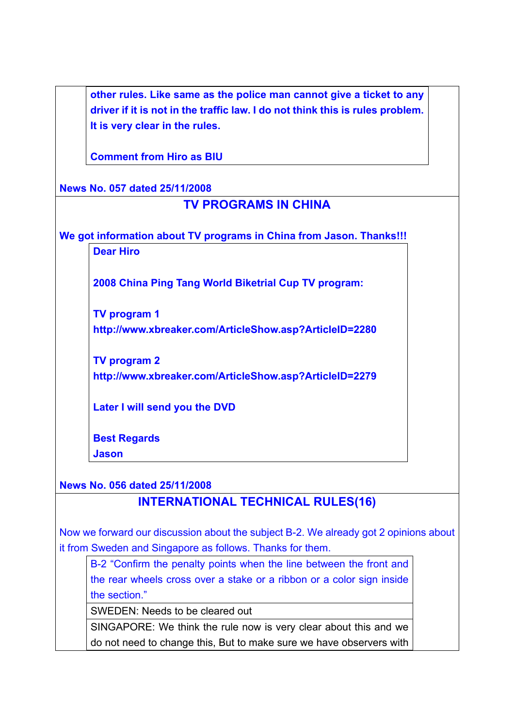**other rules. Like same as the police man cannot give a ticket to any driver if it is not in the traffic law. I do not think this is rules problem. It is very clear in the rules.** 

**Comment from Hiro as BIU** 

**News No. 057 dated 25/11/2008**

## **TV PROGRAMS IN CHINA**

**We got information about TV programs in China from Jason. Thanks!!!** 

**Dear Hiro** 

**2008 China Ping Tang World Biketrial Cup TV program:** 

**TV program 1 http://www.xbreaker.com/ArticleShow.asp?ArticleID=2280** 

**TV program 2 http://www.xbreaker.com/ArticleShow.asp?ArticleID=2279** 

**Later I will send you the DVD** 

**Best Regards** 

**Jason** 

### **News No. 056 dated 25/11/2008 INTERNATIONAL TECHNICAL RULES(16)**

Now we forward our discussion about the subject B-2. We already got 2 opinions about it from Sweden and Singapore as follows. Thanks for them.

B-2 "Confirm the penalty points when the line between the front and the rear wheels cross over a stake or a ribbon or a color sign inside the section."

SWEDEN: Needs to be cleared out

SINGAPORE: We think the rule now is very clear about this and we do not need to change this, But to make sure we have observers with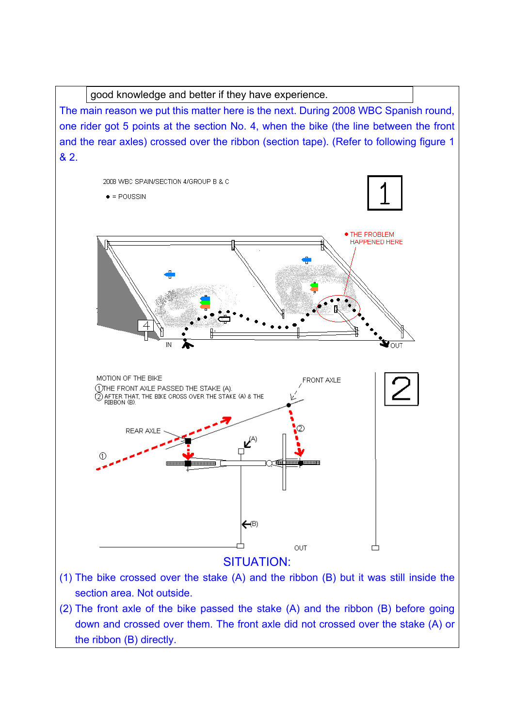good knowledge and better if they have experience.

The main reason we put this matter here is the next. During 2008 WBC Spanish round, one rider got 5 points at the section No. 4, when the bike (the line between the front and the rear axles) crossed over the ribbon (section tape). (Refer to following figure 1 & 2.



- section area. Not outside. (2) The front axle of the bike passed the stake (A) and the ribbon (B) before going
- down and crossed over them. The front axle did not crossed over the stake (A) or the ribbon (B) directly.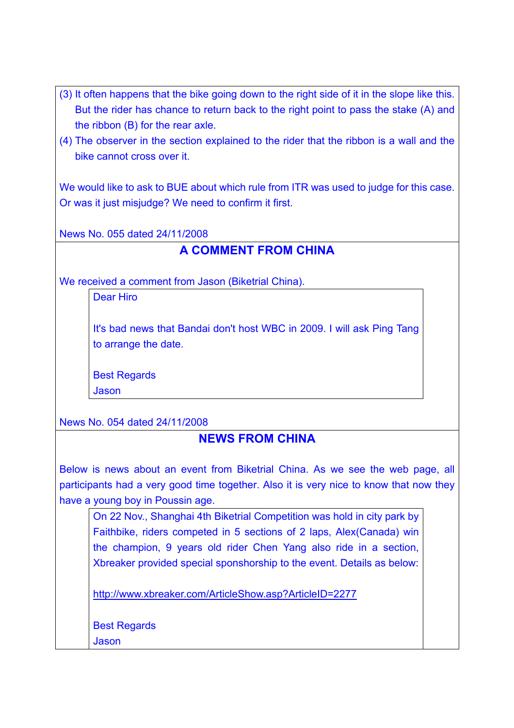- (3) It often happens that the bike going down to the right side of it in the slope like this. But the rider has chance to return back to the right point to pass the stake (A) and the ribbon (B) for the rear axle.
- (4) The observer in the section explained to the rider that the ribbon is a wall and the bike cannot cross over it.

We would like to ask to BUE about which rule from ITR was used to judge for this case. Or was it just misjudge? We need to confirm it first.

News No. 055 dated 24/11/2008

## **A COMMENT FROM CHINA**

We received a comment from Jason (Biketrial China).

Dear Hiro

It's bad news that Bandai don't host WBC in 2009. I will ask Ping Tang to arrange the date.

Best Regards Jason

News No. 054 dated 24/11/2008

#### **NEWS FROM CHINA**

Below is news about an event from Biketrial China. As we see the web page, all participants had a very good time together. Also it is very nice to know that now they have a young boy in Poussin age.

On 22 Nov., Shanghai 4th Biketrial Competition was hold in city park by Faithbike, riders competed in 5 sections of 2 laps, Alex(Canada) win the champion, 9 years old rider Chen Yang also ride in a section, Xbreaker provided special sponshorship to the event. Details as below:

http://www.xbreaker.com/ArticleShow.asp?ArticleID=2277

Best Regards

Jason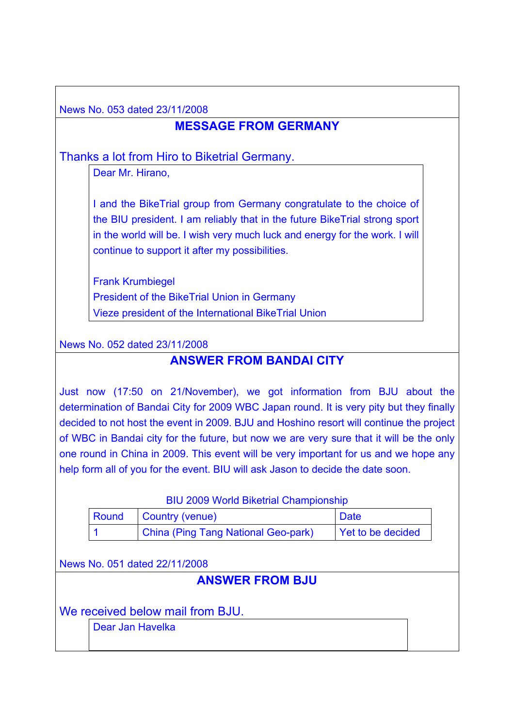News No. 053 dated 23/11/2008

## **MESSAGE FROM GERMANY**

Thanks a lot from Hiro to Biketrial Germany.

Dear Mr. Hirano,

I and the BikeTrial group from Germany congratulate to the choice of the BIU president. I am reliably that in the future BikeTrial strong sport in the world will be. I wish very much luck and energy for the work. I will continue to support it after my possibilities.

Frank Krumbiegel President of the BikeTrial Union in Germany Vieze president of the International BikeTrial Union

News No. 052 dated 23/11/2008

### **ANSWER FROM BANDAI CITY**

Just now (17:50 on 21/November), we got information from BJU about the determination of Bandai City for 2009 WBC Japan round. It is very pity but they finally decided to not host the event in 2009. BJU and Hoshino resort will continue the project of WBC in Bandai city for the future, but now we are very sure that it will be the only one round in China in 2009. This event will be very important for us and we hope any help form all of you for the event. BIU will ask Jason to decide the date soon.

#### BIU 2009 World Biketrial Championship

| Round | Country (venue)                     | <b>Date</b>       |
|-------|-------------------------------------|-------------------|
|       | China (Ping Tang National Geo-park) | Yet to be decided |

News No. 051 dated 22/11/2008

# **ANSWER FROM BJU**

We received below mail from BJU.

Dear Jan Havelka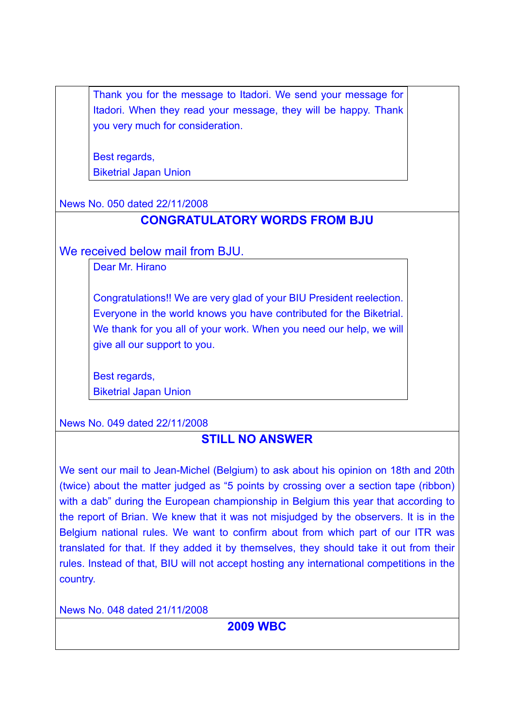Thank you for the message to Itadori. We send your message for Itadori. When they read your message, they will be happy. Thank you very much for consideration.

Best regards. Biketrial Japan Union

News No. 050 dated 22/11/2008

# **CONGRATULATORY WORDS FROM BJU**

We received below mail from BJU.

Dear Mr. Hirano

Congratulations!! We are very glad of your BIU President reelection. Everyone in the world knows you have contributed for the Biketrial. We thank for you all of your work. When you need our help, we will give all our support to you.

Best regards, Biketrial Japan Union

News No. 049 dated 22/11/2008

# **STILL NO ANSWER**

We sent our mail to Jean-Michel (Belgium) to ask about his opinion on 18th and 20th (twice) about the matter judged as "5 points by crossing over a section tape (ribbon) with a dab" during the European championship in Belgium this year that according to the report of Brian. We knew that it was not misjudged by the observers. It is in the Belgium national rules. We want to confirm about from which part of our ITR was translated for that. If they added it by themselves, they should take it out from their rules. Instead of that, BIU will not accept hosting any international competitions in the country.

News No. 048 dated 21/11/2008

# **2009 WBC**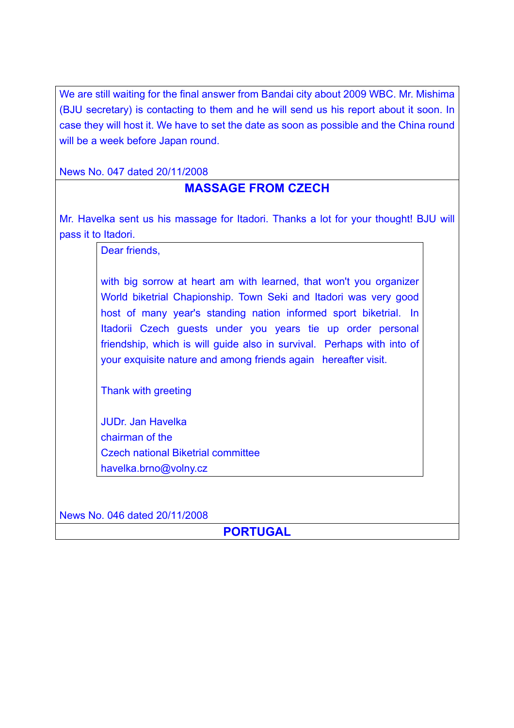We are still waiting for the final answer from Bandai city about 2009 WBC. Mr. Mishima (BJU secretary) is contacting to them and he will send us his report about it soon. In case they will host it. We have to set the date as soon as possible and the China round will be a week before Japan round.

News No. 047 dated 20/11/2008

#### **MASSAGE FROM CZECH**

Mr. Havelka sent us his massage for Itadori. Thanks a lot for your thought! BJU will pass it to Itadori.

Dear friends,

with big sorrow at heart am with learned, that won't you organizer World biketrial Chapionship. Town Seki and Itadori was very good host of many year's standing nation informed sport biketrial. In Itadorii Czech guests under you years tie up order personal friendship, which is will guide also in survival. Perhaps with into of your exquisite nature and among friends again hereafter visit.

Thank with greeting

JUDr. Jan Havelka chairman of the Czech national Biketrial committee havelka.brno@volny.cz

News No. 046 dated 20/11/2008

**PORTUGAL**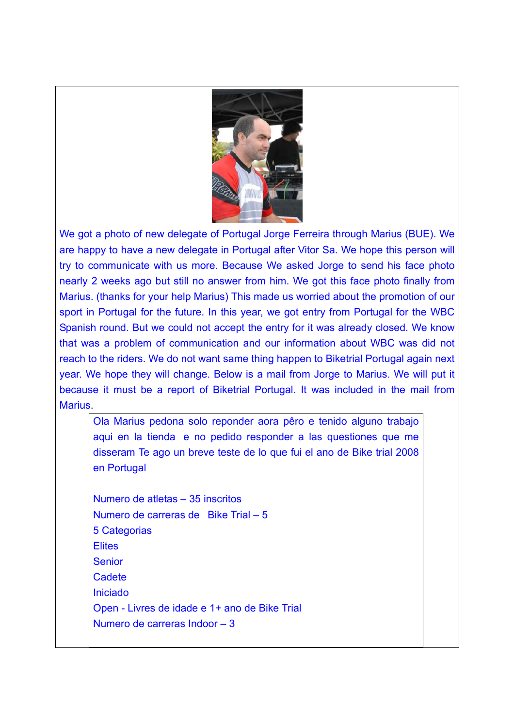

We got a photo of new delegate of Portugal Jorge Ferreira through Marius (BUE). We are happy to have a new delegate in Portugal after Vitor Sa. We hope this person will try to communicate with us more. Because We asked Jorge to send his face photo nearly 2 weeks ago but still no answer from him. We got this face photo finally from Marius. (thanks for your help Marius) This made us worried about the promotion of our sport in Portugal for the future. In this year, we got entry from Portugal for the WBC Spanish round. But we could not accept the entry for it was already closed. We know that was a problem of communication and our information about WBC was did not reach to the riders. We do not want same thing happen to Biketrial Portugal again next year. We hope they will change. Below is a mail from Jorge to Marius. We will put it because it must be a report of Biketrial Portugal. It was included in the mail from **Marius** 

Ola Marius pedona solo reponder aora pêro e tenido alguno trabajo aqui en la tienda e no pedido responder a las questiones que me disseram Te ago un breve teste de lo que fui el ano de Bike trial 2008 en Portugal

Numero de atletas – 35 inscritos Numero de carreras de Bike Trial – 5 5 Categorias **Elites** Senior **Cadete** Iniciado Open - Livres de idade e 1+ ano de Bike Trial Numero de carreras Indoor – 3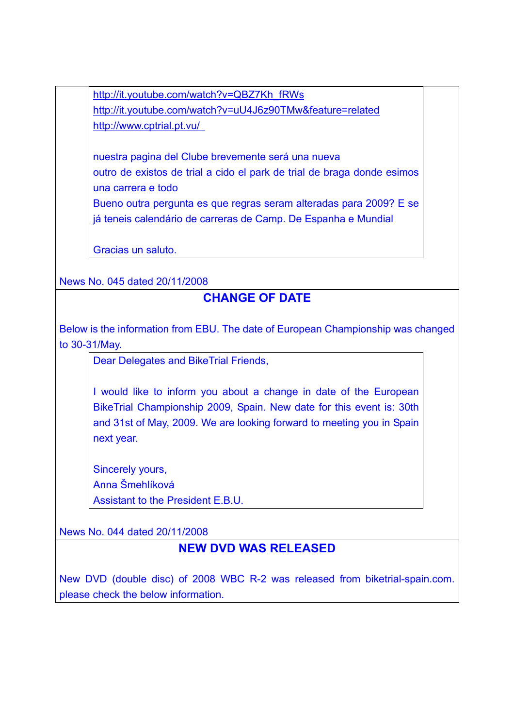http://it.youtube.com/watch?v=QBZ7Kh\_fRWs http://it.youtube.com/watch?v=uU4J6z90TMw&feature=related http://www.cptrial.pt.vu/

nuestra pagina del Clube brevemente será una nueva outro de existos de trial a cido el park de trial de braga donde esimos una carrera e todo Bueno outra pergunta es que regras seram alteradas para 2009? E se já teneis calendário de carreras de Camp. De Espanha e Mundial

Gracias un saluto.

News No. 045 dated 20/11/2008

# **CHANGE OF DATE**

Below is the information from EBU. The date of European Championship was changed to 30-31/May.

Dear Delegates and BikeTrial Friends,

I would like to inform you about a change in date of the European BikeTrial Championship 2009, Spain. New date for this event is: 30th and 31st of May, 2009. We are looking forward to meeting you in Spain next year.

Sincerely yours, Anna Šmehlíková Assistant to the President E.B.U.

News No. 044 dated 20/11/2008

## **NEW DVD WAS RELEASED**

New DVD (double disc) of 2008 WBC R-2 was released from biketrial-spain.com. please check the below information.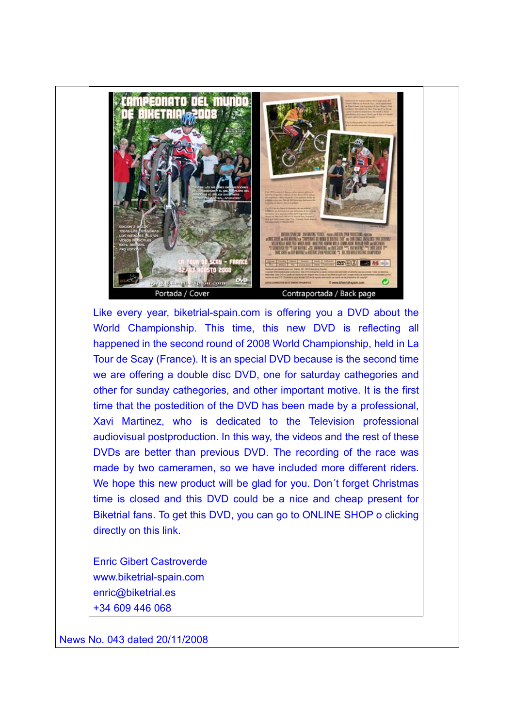

Like every year, biketrial-spain.com is offering you a DVD about the World Championship. This time, this new DVD is reflecting all happened in the second round of 2008 World Championship, held in La Tour de Scay (France). It is an special DVD because is the second time we are offering a double disc DVD, one for saturday cathegories and other for sunday cathegories, and other important motive. It is the first time that the postedition of the DVD has been made by a professional, Xavi Martinez, who is dedicated to the Television professional audiovisual postproduction. In this way, the videos and the rest of these DVDs are better than previous DVD. The recording of the race was made by two cameramen, so we have included more different riders. We hope this new product will be glad for you. Don't forget Christmas time is closed and this DVD could be a nice and cheap present for Biketrial fans. To get this DVD, you can go to ONLINE SHOP o clicking directly on this link.

Enric Gibert Castroverde www.biketrial-spain.com enric@biketrial.es +34 609 446 068

News No. 043 dated 20/11/2008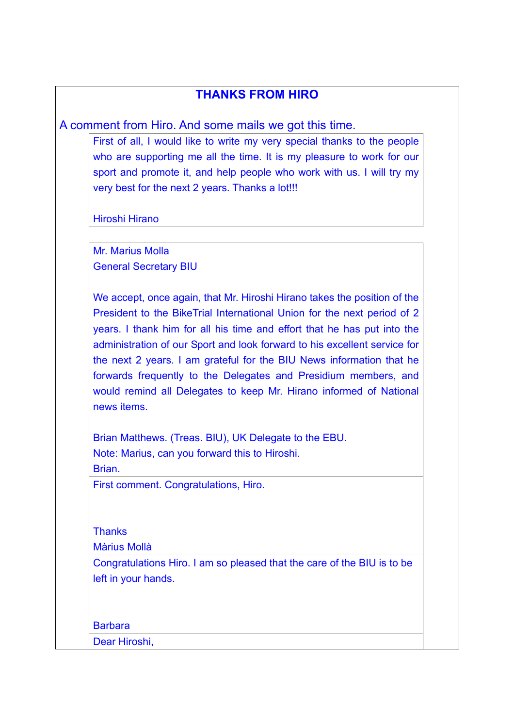### **THANKS FROM HIRO**

A comment from Hiro. And some mails we got this time.

First of all, I would like to write my very special thanks to the people who are supporting me all the time. It is my pleasure to work for our sport and promote it, and help people who work with us. I will try my very best for the next 2 years. Thanks a lot!!!

Hiroshi Hirano

Mr. Marius Molla General Secretary BIU

We accept, once again, that Mr. Hiroshi Hirano takes the position of the President to the BikeTrial International Union for the next period of 2 years. I thank him for all his time and effort that he has put into the administration of our Sport and look forward to his excellent service for the next 2 years. I am grateful for the BIU News information that he forwards frequently to the Delegates and Presidium members, and would remind all Delegates to keep Mr. Hirano informed of National news items.

Brian Matthews. (Treas. BIU), UK Delegate to the EBU. Note: Marius, can you forward this to Hiroshi.

Brian.

First comment. Congratulations, Hiro.

**Thanks** 

Màrius Mollà

Congratulations Hiro. I am so pleased that the care of the BIU is to be left in your hands.

Barbara

Dear Hiroshi,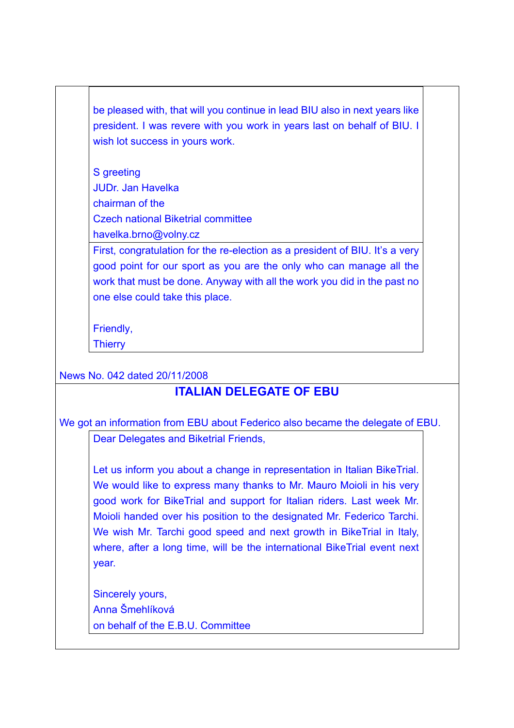be pleased with, that will you continue in lead BIU also in next years like president. I was revere with you work in years last on behalf of BIU. I wish lot success in yours work.

S greeting JUDr. Jan Havelka chairman of the Czech national Biketrial committee havelka.brno@volny.cz

First, congratulation for the re-election as a president of BIU. It's a very good point for our sport as you are the only who can manage all the work that must be done. Anyway with all the work you did in the past no one else could take this place.

Friendly,

**Thierry** 

News No. 042 dated 20/11/2008

# **ITALIAN DELEGATE OF EBU**

We got an information from EBU about Federico also became the delegate of EBU.

Dear Delegates and Biketrial Friends,

Let us inform you about a change in representation in Italian BikeTrial. We would like to express many thanks to Mr. Mauro Moioli in his very good work for BikeTrial and support for Italian riders. Last week Mr. Moioli handed over his position to the designated Mr. Federico Tarchi. We wish Mr. Tarchi good speed and next growth in BikeTrial in Italy, where, after a long time, will be the international BikeTrial event next year.

Sincerely yours, Anna Šmehlíková on behalf of the E.B.U. Committee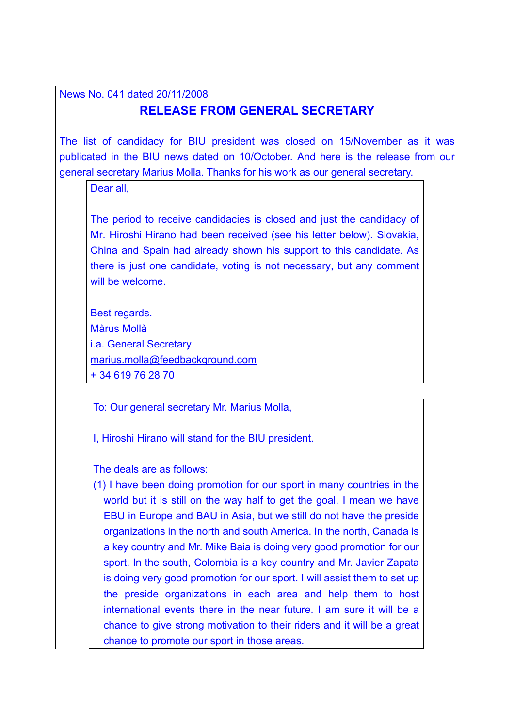News No. 041 dated 20/11/2008

#### **RELEASE FROM GENERAL SECRETARY**

The list of candidacy for BIU president was closed on 15/November as it was publicated in the BIU news dated on 10/October. And here is the release from our general secretary Marius Molla. Thanks for his work as our general secretary.

Dear all

The period to receive candidacies is closed and just the candidacy of Mr. Hiroshi Hirano had been received (see his letter below). Slovakia, China and Spain had already shown his support to this candidate. As there is just one candidate, voting is not necessary, but any comment will be welcome.

Best regards. Màrus Mollà i.a. General Secretary marius.molla@feedbackground.com + 34 619 76 28 70

To: Our general secretary Mr. Marius Molla,

I, Hiroshi Hirano will stand for the BIU president.

The deals are as follows:

(1) I have been doing promotion for our sport in many countries in the world but it is still on the way half to get the goal. I mean we have EBU in Europe and BAU in Asia, but we still do not have the preside organizations in the north and south America. In the north, Canada is a key country and Mr. Mike Baia is doing very good promotion for our sport. In the south, Colombia is a key country and Mr. Javier Zapata is doing very good promotion for our sport. I will assist them to set up the preside organizations in each area and help them to host international events there in the near future. I am sure it will be a chance to give strong motivation to their riders and it will be a great chance to promote our sport in those areas.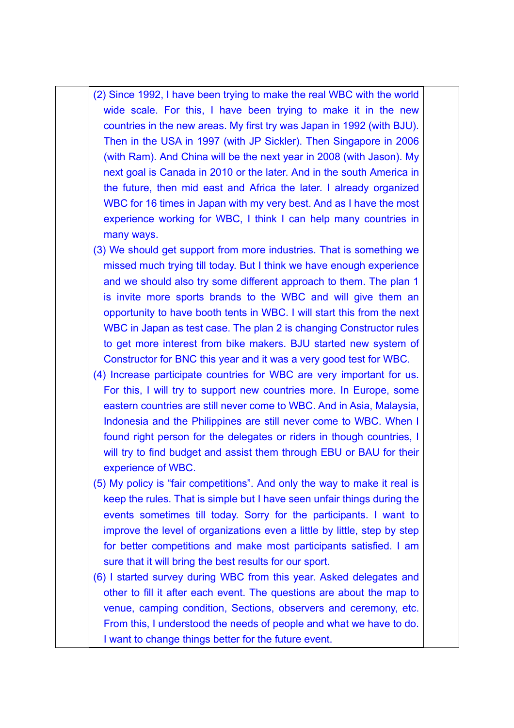- (2) Since 1992, I have been trying to make the real WBC with the world wide scale. For this, I have been trying to make it in the new countries in the new areas. My first try was Japan in 1992 (with BJU). Then in the USA in 1997 (with JP Sickler). Then Singapore in 2006 (with Ram). And China will be the next year in 2008 (with Jason). My next goal is Canada in 2010 or the later. And in the south America in the future, then mid east and Africa the later. I already organized WBC for 16 times in Japan with my very best. And as I have the most experience working for WBC, I think I can help many countries in many ways.
- (3) We should get support from more industries. That is something we missed much trying till today. But I think we have enough experience and we should also try some different approach to them. The plan 1 is invite more sports brands to the WBC and will give them an opportunity to have booth tents in WBC. I will start this from the next WBC in Japan as test case. The plan 2 is changing Constructor rules to get more interest from bike makers. BJU started new system of Constructor for BNC this year and it was a very good test for WBC.
- (4) Increase participate countries for WBC are very important for us. For this, I will try to support new countries more. In Europe, some eastern countries are still never come to WBC. And in Asia, Malaysia, Indonesia and the Philippines are still never come to WBC. When I found right person for the delegates or riders in though countries, I will try to find budget and assist them through EBU or BAU for their experience of WBC.
- (5) My policy is "fair competitions". And only the way to make it real is keep the rules. That is simple but I have seen unfair things during the events sometimes till today. Sorry for the participants. I want to improve the level of organizations even a little by little, step by step for better competitions and make most participants satisfied. I am sure that it will bring the best results for our sport.
- (6) I started survey during WBC from this year. Asked delegates and other to fill it after each event. The questions are about the map to venue, camping condition, Sections, observers and ceremony, etc. From this, I understood the needs of people and what we have to do. I want to change things better for the future event.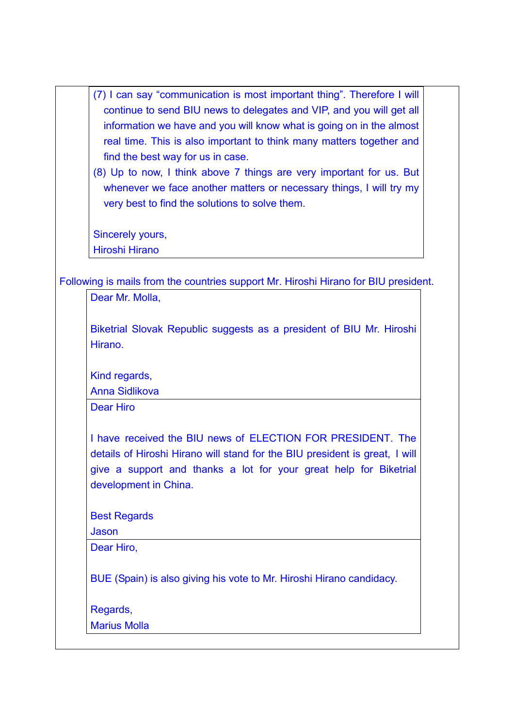- (7) I can say "communication is most important thing". Therefore I will continue to send BIU news to delegates and VIP, and you will get all information we have and you will know what is going on in the almost real time. This is also important to think many matters together and find the best way for us in case.
- (8) Up to now, I think above 7 things are very important for us. But whenever we face another matters or necessary things, I will try my very best to find the solutions to solve them.

Sincerely yours, Hiroshi Hirano

Following is mails from the countries support Mr. Hiroshi Hirano for BIU president.

| Dear Mr. Molla, |  |  |
|-----------------|--|--|
|                 |  |  |

Biketrial Slovak Republic suggests as a president of BIU Mr. Hiroshi Hirano.

Kind regards,

Anna Sidlikova

Dear Hiro

I have received the BIU news of ELECTION FOR PRESIDENT. The details of Hiroshi Hirano will stand for the BIU president is great, I will give a support and thanks a lot for your great help for Biketrial development in China.

Best Regards

Jason

Dear Hiro,

BUE (Spain) is also giving his vote to Mr. Hiroshi Hirano candidacy.

Regards,

Marius Molla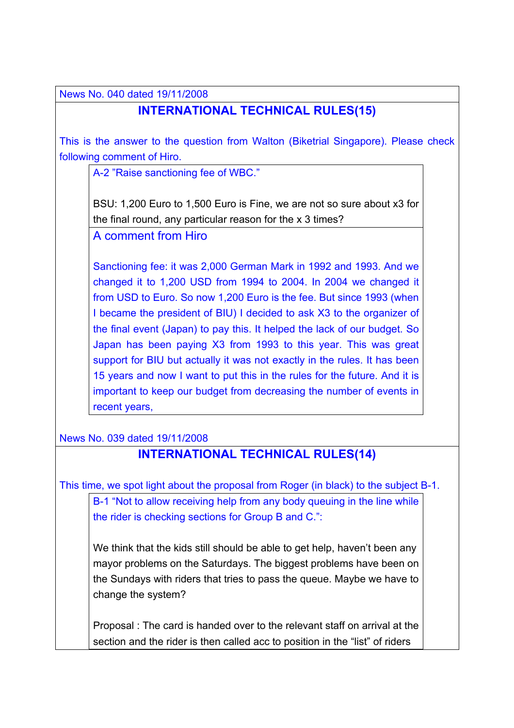News No. 040 dated 19/11/2008

# **INTERNATIONAL TECHNICAL RULES(15)**

This is the answer to the question from Walton (Biketrial Singapore). Please check following comment of Hiro.

A-2 "Raise sanctioning fee of WBC."

BSU: 1,200 Euro to 1,500 Euro is Fine, we are not so sure about x3 for the final round, any particular reason for the x 3 times?

A comment from Hiro

Sanctioning fee: it was 2,000 German Mark in 1992 and 1993. And we changed it to 1,200 USD from 1994 to 2004. In 2004 we changed it from USD to Euro. So now 1,200 Euro is the fee. But since 1993 (when I became the president of BIU) I decided to ask X3 to the organizer of the final event (Japan) to pay this. It helped the lack of our budget. So Japan has been paying X3 from 1993 to this year. This was great support for BIU but actually it was not exactly in the rules. It has been 15 years and now I want to put this in the rules for the future. And it is important to keep our budget from decreasing the number of events in recent years,

News No. 039 dated 19/11/2008

## **INTERNATIONAL TECHNICAL RULES(14)**

This time, we spot light about the proposal from Roger (in black) to the subject B-1.

B-1 "Not to allow receiving help from any body queuing in the line while the rider is checking sections for Group B and C.":

We think that the kids still should be able to get help, haven't been any mayor problems on the Saturdays. The biggest problems have been on the Sundays with riders that tries to pass the queue. Maybe we have to change the system?

Proposal : The card is handed over to the relevant staff on arrival at the section and the rider is then called acc to position in the "list" of riders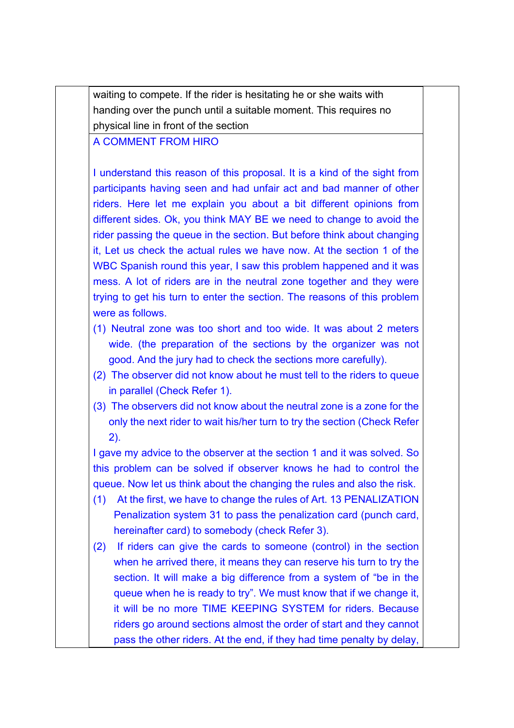waiting to compete. If the rider is hesitating he or she waits with handing over the punch until a suitable moment. This requires no physical line in front of the section

#### A COMMENT FROM HIRO

I understand this reason of this proposal. It is a kind of the sight from participants having seen and had unfair act and bad manner of other riders. Here let me explain you about a bit different opinions from different sides. Ok, you think MAY BE we need to change to avoid the rider passing the queue in the section. But before think about changing it, Let us check the actual rules we have now. At the section 1 of the WBC Spanish round this year, I saw this problem happened and it was mess. A lot of riders are in the neutral zone together and they were trying to get his turn to enter the section. The reasons of this problem were as follows.

- (1) Neutral zone was too short and too wide. It was about 2 meters wide. (the preparation of the sections by the organizer was not good. And the jury had to check the sections more carefully).
- (2) The observer did not know about he must tell to the riders to queue in parallel (Check Refer 1).
- (3) The observers did not know about the neutral zone is a zone for the only the next rider to wait his/her turn to try the section (Check Refer 2).

I gave my advice to the observer at the section 1 and it was solved. So this problem can be solved if observer knows he had to control the queue. Now let us think about the changing the rules and also the risk.

- (1) At the first, we have to change the rules of Art. 13 PENALIZATION Penalization system 31 to pass the penalization card (punch card, hereinafter card) to somebody (check Refer 3).
- (2) If riders can give the cards to someone (control) in the section when he arrived there, it means they can reserve his turn to try the section. It will make a big difference from a system of "be in the queue when he is ready to try". We must know that if we change it, it will be no more TIME KEEPING SYSTEM for riders. Because riders go around sections almost the order of start and they cannot pass the other riders. At the end, if they had time penalty by delay,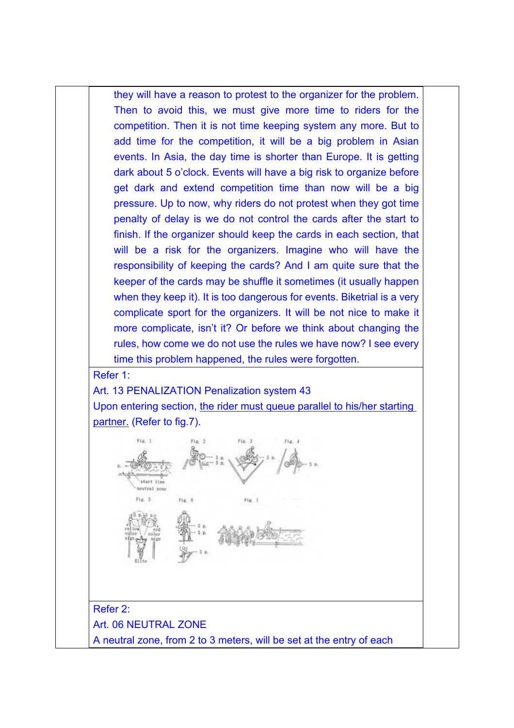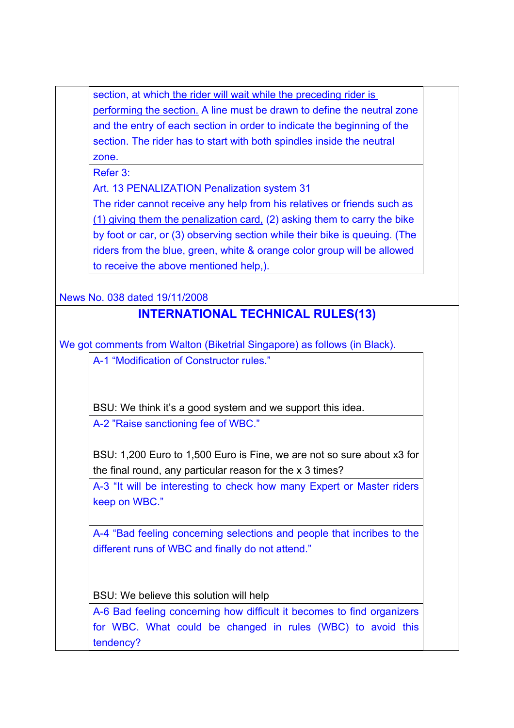section, at which the rider will wait while the preceding rider is performing the section. A line must be drawn to define the neutral zone and the entry of each section in order to indicate the beginning of the section. The rider has to start with both spindles inside the neutral zone.

Refer 3:

Art. 13 PENALIZATION Penalization system 31

The rider cannot receive any help from his relatives or friends such as (1) giving them the penalization card, (2) asking them to carry the bike by foot or car, or (3) observing section while their bike is queuing. (The riders from the blue, green, white & orange color group will be allowed to receive the above mentioned help,).

News No. 038 dated 19/11/2008

# **INTERNATIONAL TECHNICAL RULES(13)**

We got comments from Walton (Biketrial Singapore) as follows (in Black).

A-1 "Modification of Constructor rules."

BSU: We think it's a good system and we support this idea. A-2 "Raise sanctioning fee of WBC."

BSU: 1,200 Euro to 1,500 Euro is Fine, we are not so sure about x3 for the final round, any particular reason for the x 3 times?

A-3 "It will be interesting to check how many Expert or Master riders keep on WBC."

A-4 "Bad feeling concerning selections and people that incribes to the different runs of WBC and finally do not attend."

BSU: We believe this solution will help

A-6 Bad feeling concerning how difficult it becomes to find organizers for WBC. What could be changed in rules (WBC) to avoid this tendency?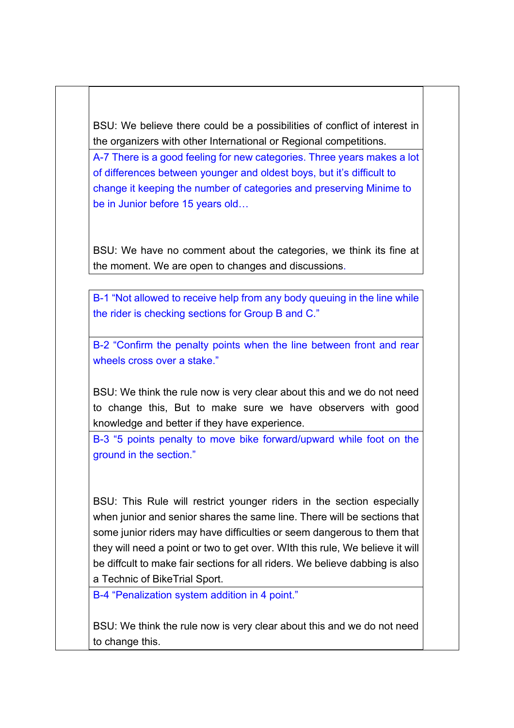BSU: We believe there could be a possibilities of conflict of interest in the organizers with other International or Regional competitions.

A-7 There is a good feeling for new categories. Three years makes a lot of differences between younger and oldest boys, but it's difficult to change it keeping the number of categories and preserving Minime to be in Junior before 15 years old…

BSU: We have no comment about the categories, we think its fine at the moment. We are open to changes and discussions.

B-1 "Not allowed to receive help from any body queuing in the line while the rider is checking sections for Group B and C."

B-2 "Confirm the penalty points when the line between front and rear wheels cross over a stake."

BSU: We think the rule now is very clear about this and we do not need to change this, But to make sure we have observers with good knowledge and better if they have experience.

B-3 "5 points penalty to move bike forward/upward while foot on the ground in the section."

BSU: This Rule will restrict younger riders in the section especially when junior and senior shares the same line. There will be sections that some junior riders may have difficulties or seem dangerous to them that they will need a point or two to get over. WIth this rule, We believe it will be diffcult to make fair sections for all riders. We believe dabbing is also a Technic of BikeTrial Sport.

B-4 "Penalization system addition in 4 point."

BSU: We think the rule now is very clear about this and we do not need to change this.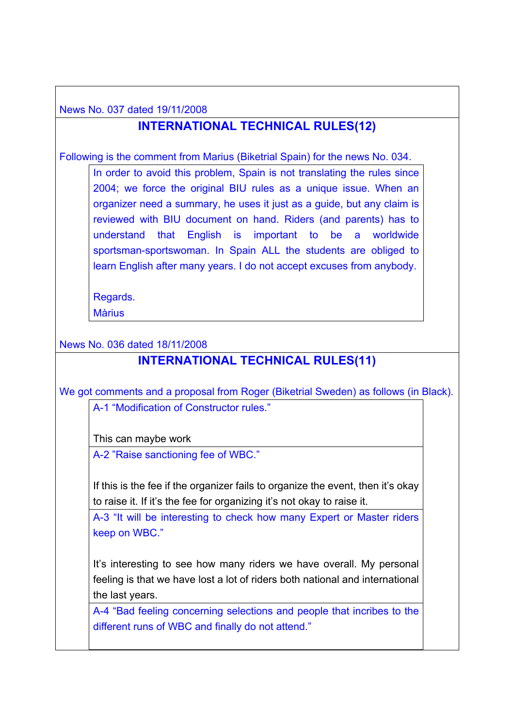News No. 037 dated 19/11/2008

# **INTERNATIONAL TECHNICAL RULES(12)**

Following is the comment from Marius (Biketrial Spain) for the news No. 034.

In order to avoid this problem, Spain is not translating the rules since 2004; we force the original BIU rules as a unique issue. When an organizer need a summary, he uses it just as a guide, but any claim is reviewed with BIU document on hand. Riders (and parents) has to understand that English is important to be a worldwide sportsman-sportswoman. In Spain ALL the students are obliged to learn English after many years. I do not accept excuses from anybody.

Regards. **Màrius** 

News No. 036 dated 18/11/2008

### **INTERNATIONAL TECHNICAL RULES(11)**

We got comments and a proposal from Roger (Biketrial Sweden) as follows (in Black).

A-1 "Modification of Constructor rules."

This can maybe work

A-2 "Raise sanctioning fee of WBC."

If this is the fee if the organizer fails to organize the event, then it's okay to raise it. If it's the fee for organizing it's not okay to raise it.

A-3 "It will be interesting to check how many Expert or Master riders keep on WBC."

It's interesting to see how many riders we have overall. My personal feeling is that we have lost a lot of riders both national and international the last years.

A-4 "Bad feeling concerning selections and people that incribes to the different runs of WBC and finally do not attend."